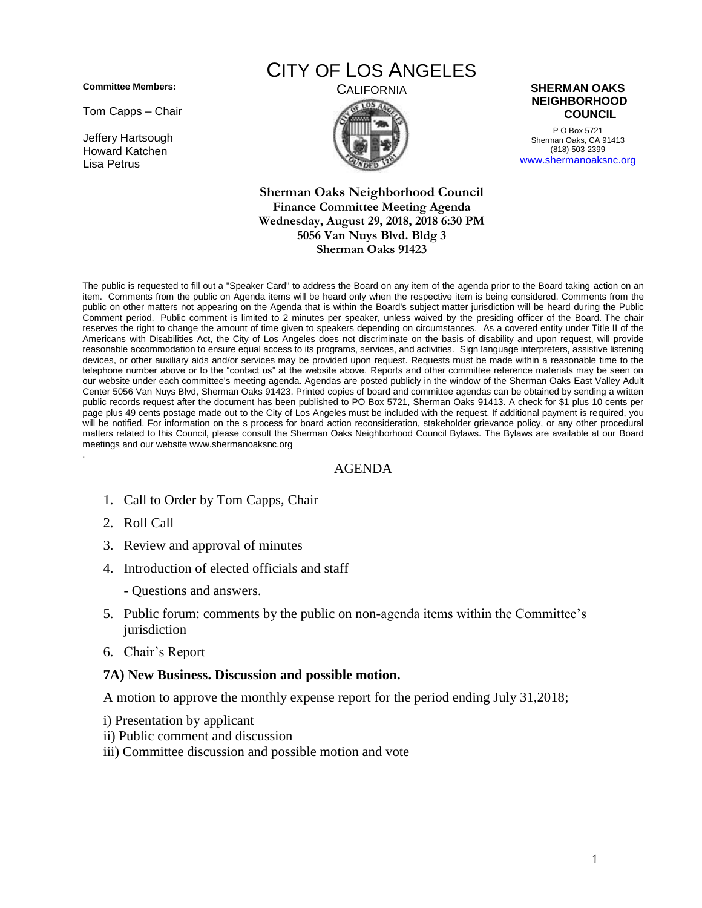**Committee Members:**

Tom Capps – Chair

Jeffery Hartsough Howard Katchen Lisa Petrus

# CITY OF LOS ANGELES



P O Box 5721 Sherman Oaks, CA 91413 (818) 503-2399 [www.shermanoaksnc.org](http://www.shermanoaksnc.org/)

#### **Sherman Oaks Neighborhood Council Finance Committee Meeting Agenda Wednesday, August 29, 2018, 2018 6:30 PM 5056 Van Nuys Blvd. Bldg 3 Sherman Oaks 91423**

The public is requested to fill out a "Speaker Card" to address the Board on any item of the agenda prior to the Board taking action on an item. Comments from the public on Agenda items will be heard only when the respective item is being considered. Comments from the public on other matters not appearing on the Agenda that is within the Board's subject matter jurisdiction will be heard during the Public Comment period. Public comment is limited to 2 minutes per speaker, unless waived by the presiding officer of the Board. The chair reserves the right to change the amount of time given to speakers depending on circumstances. As a covered entity under Title II of the Americans with Disabilities Act, the City of Los Angeles does not discriminate on the basis of disability and upon request, will provide reasonable accommodation to ensure equal access to its programs, services, and activities. Sign language interpreters, assistive listening devices, or other auxiliary aids and/or services may be provided upon request. Requests must be made within a reasonable time to the telephone number above or to the "contact us" at the website above. Reports and other committee reference materials may be seen on our website under each committee's meeting agenda. Agendas are posted publicly in the window of the Sherman Oaks East Valley Adult Center 5056 Van Nuys Blvd, Sherman Oaks 91423. Printed copies of board and committee agendas can be obtained by sending a written public records request after the document has been published to PO Box 5721, Sherman Oaks 91413. A check for \$1 plus 10 cents per page plus 49 cents postage made out to the City of Los Angeles must be included with the request. If additional payment is required, you will be notified. For information on the s process for board action reconsideration, stakeholder grievance policy, or any other procedural matters related to this Council, please consult the Sherman Oaks Neighborhood Council Bylaws. The Bylaws are available at our Board meetings and our website www.shermanoaksnc.org .

## AGENDA

- 1. Call to Order by Tom Capps, Chair
- 2. Roll Call
- 3. Review and approval of minutes
- 4. Introduction of elected officials and staff
	- Questions and answers.
- 5. Public forum: comments by the public on non-agenda items within the Committee's jurisdiction
- 6. Chair's Report

#### **7A) New Business. Discussion and possible motion.**

A motion to approve the monthly expense report for the period ending July 31,2018;

- i) Presentation by applicant
- ii) Public comment and discussion
- iii) Committee discussion and possible motion and vote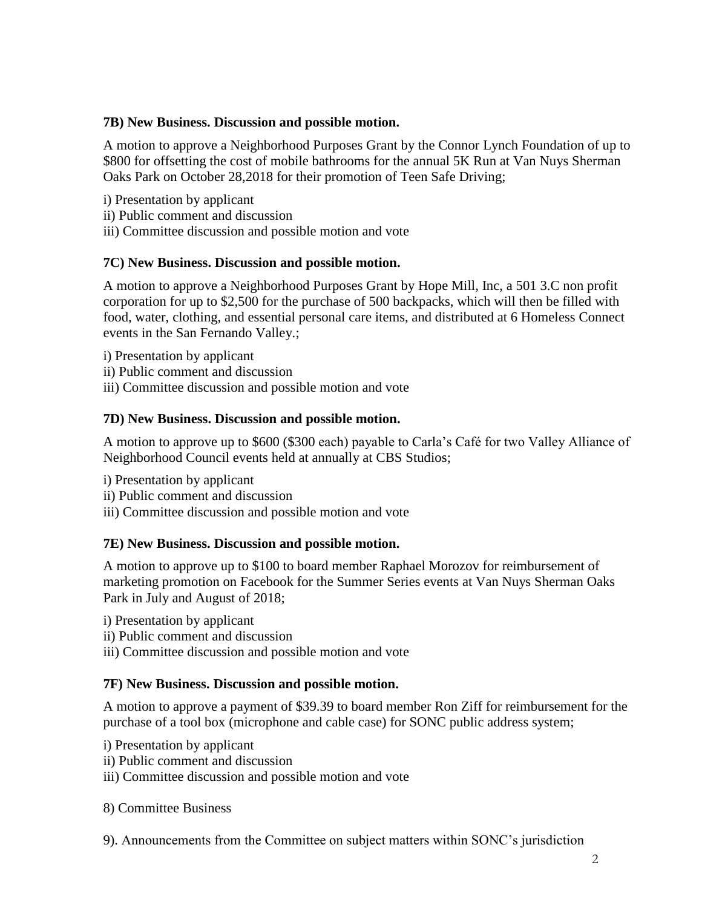# **7B) New Business. Discussion and possible motion.**

A motion to approve a Neighborhood Purposes Grant by the Connor Lynch Foundation of up to \$800 for offsetting the cost of mobile bathrooms for the annual 5K Run at Van Nuys Sherman Oaks Park on October 28,2018 for their promotion of Teen Safe Driving;

- i) Presentation by applicant
- ii) Public comment and discussion
- iii) Committee discussion and possible motion and vote

# **7C) New Business. Discussion and possible motion.**

A motion to approve a Neighborhood Purposes Grant by Hope Mill, Inc, a 501 3.C non profit corporation for up to \$2,500 for the purchase of 500 backpacks, which will then be filled with food, water, clothing, and essential personal care items, and distributed at 6 Homeless Connect events in the San Fernando Valley.;

- i) Presentation by applicant
- ii) Public comment and discussion
- iii) Committee discussion and possible motion and vote

# **7D) New Business. Discussion and possible motion.**

A motion to approve up to \$600 (\$300 each) payable to Carla's Café for two Valley Alliance of Neighborhood Council events held at annually at CBS Studios;

- i) Presentation by applicant
- ii) Public comment and discussion
- iii) Committee discussion and possible motion and vote

## **7E) New Business. Discussion and possible motion.**

A motion to approve up to \$100 to board member Raphael Morozov for reimbursement of marketing promotion on Facebook for the Summer Series events at Van Nuys Sherman Oaks Park in July and August of 2018;

- i) Presentation by applicant
- ii) Public comment and discussion
- iii) Committee discussion and possible motion and vote

## **7F) New Business. Discussion and possible motion.**

A motion to approve a payment of \$39.39 to board member Ron Ziff for reimbursement for the purchase of a tool box (microphone and cable case) for SONC public address system;

- i) Presentation by applicant
- ii) Public comment and discussion
- iii) Committee discussion and possible motion and vote
- 8) Committee Business

9). Announcements from the Committee on subject matters within SONC's jurisdiction